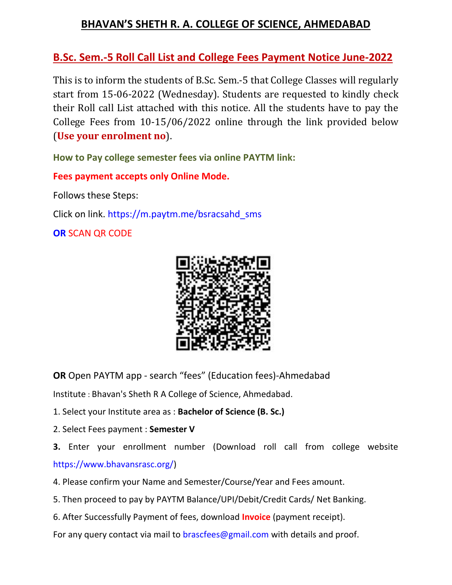### **BHAVAN'S SHETH R. A. COLLEGE OF SCIENCE, AHMEDABAD**

### **B.Sc. Sem.-5 Roll Call List and College Fees Payment Notice June-2022**

This is to inform the students of B.Sc. Sem.-5 that College Classes will regularly start from 15-06-2022 (Wednesday). Students are requested to kindly check their Roll call List attached with this notice. All the students have to pay the College Fees from 10-15/06/2022 online through the link provided below (**Use your enrolment no**).

**How to Pay college semester fees via online PAYTM link:**

**Fees payment accepts only Online Mode.**

Follows these Steps:

Click on link. https://m.paytm.me/bsracsahd\_sms

**OR** SCAN QR CODE



**OR** Open PAYTM app - search "fees" (Education fees)-Ahmedabad

Institute : Bhavan's Sheth R A College of Science, Ahmedabad.

- 1. Select your Institute area as : **Bachelor of Science (B. Sc.)**
- 2. Select Fees payment : **Semester V**
- **3.** Enter your enrollment number (Download roll call from college website https://www.bhavansrasc.org/)
- 4. Please confirm your Name and Semester/Course/Year and Fees amount.
- 5. Then proceed to pay by PAYTM Balance/UPI/Debit/Credit Cards/ Net Banking.
- 6. After Successfully Payment of fees, download **Invoice** (payment receipt).

For any query contact via mail to brascfees@gmail.com with details and proof.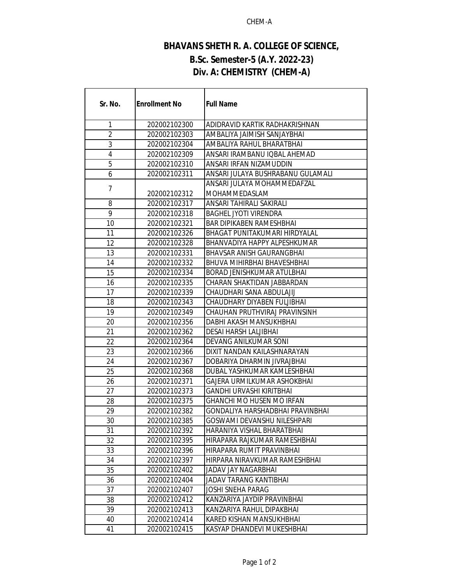#### CHEM-A

# **BHAVANS SHETH R. A. COLLEGE OF SCIENCE, B.Sc. Semester-5 (A.Y. 2022-23) Div. A: CHEMISTRY (CHEM-A)**

| Sr. No.        | <b>Enrollment No</b> | <b>Full Name</b>                    |
|----------------|----------------------|-------------------------------------|
| 1              | 202002102300         | ADIDRAVID KARTIK RADHAKRISHNAN      |
| $\overline{2}$ | 202002102303         | AMBALIYA JAIMISH SANJAYBHAI         |
| 3              | 202002102304         | AMBALIYA RAHUL BHARATBHAI           |
| 4              | 202002102309         | ANSARI IRAMBANU IQBAL AHEMAD        |
| 5              | 202002102310         | ANSARI IRFAN NIZAMUDDIN             |
| 6              | 202002102311         | ANSARI JULAYA BUSHRABANU GULAMALI   |
|                |                      | ANSARI JULAYA MOHAMMEDAFZAL         |
| 7              | 202002102312         | MOHAMMEDASLAM                       |
| 8              | 202002102317         | ANSARI TAHIRALI SAKIRALI            |
| 9              | 202002102318         | <b>BAGHEL JYOTI VIRENDRA</b>        |
| 10             | 202002102321         | <b>BAR DIPIKABEN RAMESHBHAI</b>     |
| 11             | 202002102326         | BHAGAT PUNITAKUMARI HIRDYALAL       |
| 12             | 202002102328         | <b>BHANVADIYA HAPPY ALPESHKUMAR</b> |
| 13             | 202002102331         | BHAVSAR ANISH GAURANGBHAI           |
| 14             | 202002102332         | <b>BHUVA MIHIRBHAI BHAVESHBHAI</b>  |
| 15             | 202002102334         | BORAD JENISHKUMAR ATULBHAI          |
| 16             | 202002102335         | CHARAN SHAKTIDAN JABBARDAN          |
| 17             | 202002102339         | CHAUDHARI SANA ABDULAJIJ            |
| 18             | 202002102343         | CHAUDHARY DIYABEN FULJIBHAI         |
| 19             | 202002102349         | CHAUHAN PRUTHVIRAJ PRAVINSINH       |
| 20             | 202002102356         | DABHI AKASH MANSUKHBHAI             |
| 21             | 202002102362         | <b>DESAI HARSH LALJIBHAI</b>        |
| 22             | 202002102364         | DEVANG ANILKUMAR SONI               |
| 23             | 202002102366         | DIXIT NANDAN KAILASHNARAYAN         |
| 24             | 202002102367         | DOBARIYA DHARMIN JIVRAJBHAI         |
| 25             | 202002102368         | DUBAL YASHKUMAR KAMLESHBHAI         |
| 26             | 202002102371         | GAJERA URMILKUMAR ASHOKBHAI         |
| 27             | 202002102373         | GANDHI URVASHI KIRITBHAI            |
| 28             | 202002102375         | <b>GHANCHI MO HUSEN MO IRFAN</b>    |
| 29             | 202002102382         | GONDALIYA HARSHADBHAI PRAVINBHAI    |
| 30             | 202002102385         | GOSWAMI DEVANSHU NILESHPARI         |
| 31             | 202002102392         | HARANIYA VISHAL BHARATBHAI          |
| 32             | 202002102395         | HIRAPARA RAJKUMAR RAMESHBHAI        |
| 33             | 202002102396         | HIRAPARA RUMIT PRAVINBHAI           |
| 34             | 202002102397         | HIRPARA NIRAVKUMAR RAMESHBHAI       |
| 35             | 202002102402         | JADAV JAY NAGARBHAI                 |
| 36             | 202002102404         | JADAV TARANG KANTIBHAI              |
| 37             | 202002102407         | JOSHI SNEHA PARAG                   |
| 38             | 202002102412         | KANZARIYA JAYDIP PRAVINBHAI         |
| 39             | 202002102413         | KANZARIYA RAHUL DIPAKBHAI           |
| 40             | 202002102414         | KARED KISHAN MANSUKHBHAI            |
| 41             | 202002102415         | KASYAP DHANDEVI MUKESHBHAI          |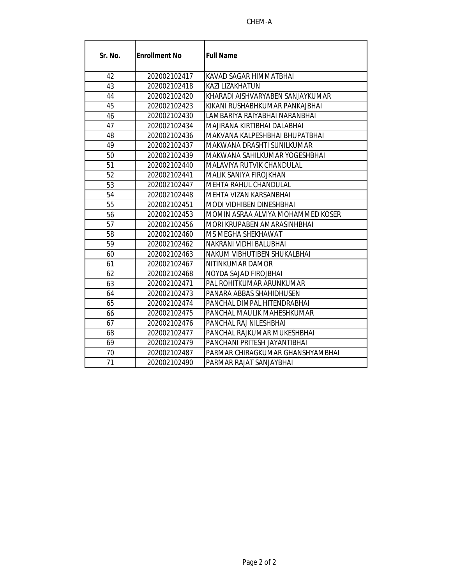#### CHEM-A

| Sr. No. | <b>Enrollment No</b> | <b>Full Name</b>                  |
|---------|----------------------|-----------------------------------|
| 42      | 202002102417         | KAVAD SAGAR HIMMATBHAI            |
| 43      | 202002102418         | <b>KAZI LIZAKHATUN</b>            |
| 44      | 202002102420         | KHARADI AISHVARYABEN SANJAYKUMAR  |
| 45      | 202002102423         | KIKANI RUSHABHKUMAR PANKAJBHAI    |
| 46      | 202002102430         | LAMBARIYA RAIYABHAI NARANBHAI     |
| 47      | 202002102434         | MAJIRANA KIRTIBHAI DALABHAI       |
| 48      | 202002102436         | MAKVANA KALPESHBHAI BHUPATBHAI    |
| 49      | 202002102437         | MAKWANA DRASHTI SUNILKUMAR        |
| 50      | 202002102439         | MAKWANA SAHILKUMAR YOGESHBHAI     |
| 51      | 202002102440         | MALAVIYA RUTVIK CHANDULAL         |
| 52      | 202002102441         | MALIK SANIYA FIROJKHAN            |
| 53      | 202002102447         | <b>MEHTA RAHUL CHANDULAL</b>      |
| 54      | 202002102448         | MEHTA VIZAN KARSANBHAI            |
| 55      | 202002102451         | <b>MODI VIDHIBEN DINESHBHAI</b>   |
| 56      | 202002102453         | MOMIN ASRAA ALVIYA MOHAMMED KOSER |
| 57      | 202002102456         | MORI KRUPABEN AMARASINHBHAI       |
| 58      | 202002102460         | MS MEGHA SHEKHAWAT                |
| 59      | 202002102462         | NAKRANI VIDHI BALUBHAI            |
| 60      | 202002102463         | NAKUM VIBHUTIBEN SHUKALBHAI       |
| 61      | 202002102467         | NITINKUMAR DAMOR                  |
| 62      | 202002102468         | NOYDA SAJAD FIROJBHAI             |
| 63      | 202002102471         | <b>PAL ROHITKUMAR ARUNKUMAR</b>   |
| 64      | 202002102473         | PANARA ABBAS SHAHIDHUSEN          |
| 65      | 202002102474         | PANCHAL DIMPAL HITENDRABHAI       |
| 66      | 202002102475         | PANCHAL MAULIK MAHESHKUMAR        |
| 67      | 202002102476         | PANCHAL RAJ NILESHBHAI            |
| 68      | 202002102477         | PANCHAL RAJKUMAR MUKESHBHAI       |
| 69      | 202002102479         | PANCHANI PRITESH JAYANTIBHAI      |
| 70      | 202002102487         | PARMAR CHIRAGKUMAR GHANSHYAMBHAI  |
| 71      | 202002102490         | PARMAR RAJAT SANJAYBHAI           |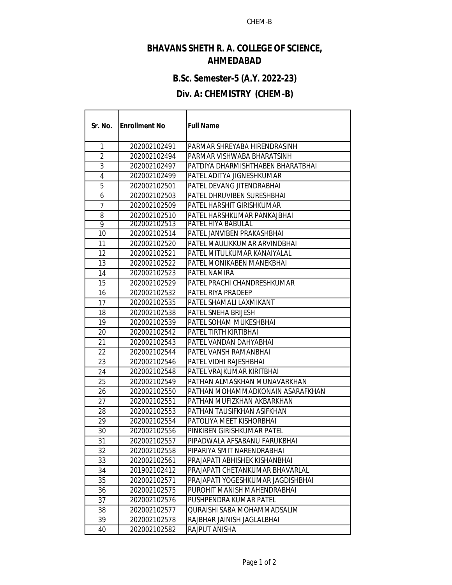#### **BHAVANS SHETH R. A. COLLEGE OF SCIENCE, AHMEDABAD**

# **B.Sc. Semester-5 (A.Y. 2022-23)**

# **Div. A: CHEMISTRY (CHEM-B)**

г

| Sr. No.        | <b>Enrollment No</b> | <b>Full Name</b>                  |
|----------------|----------------------|-----------------------------------|
| 1              | 202002102491         | PARMAR SHREYABA HIRENDRASINH      |
| $\overline{2}$ | 202002102494         | PARMAR VISHWABA BHARATSINH        |
| 3              | 202002102497         | PATDIYA DHARMISHTHABEN BHARATBHAI |
| 4              | 202002102499         | PATEL ADITYA JIGNESHKUMAR         |
| 5              | 202002102501         | PATEL DEVANG JITENDRABHAI         |
| 6              | 202002102503         | PATEL DHRUVIBEN SURESHBHAI        |
| 7              | 202002102509         | PATEL HARSHIT GIRISHKUMAR         |
| 8              | 202002102510         | PATEL HARSHKUMAR PANKAJBHAI       |
| 9              | 202002102513         | PATEL HIYA BABULAL                |
| 10             | 202002102514         | PATEL JANVIBEN PRAKASHBHAI        |
| 11             | 202002102520         | PATEL MAULIKKUMAR ARVINDBHAI      |
| 12             | 202002102521         | PATEL MITULKUMAR KANAIYALAL       |
| 13             | 202002102522         | PATEL MONIKABEN MANEKBHAI         |
| 14             | 202002102523         | PATEL NAMIRA                      |
| 15             | 202002102529         | PATEL PRACHI CHANDRESHKUMAR       |
| 16             | 202002102532         | PATEL RIYA PRADEEP                |
| 17             | 202002102535         | PATEL SHAMALI LAXMIKANT           |
| 18             | 202002102538         | PATEL SNEHA BRIJESH               |
| 19             | 202002102539         | PATEL SOHAM MUKESHBHAI            |
| 20             | 202002102542         | PATEL TIRTH KIRTIBHAI             |
| 21             | 202002102543         | PATEL VANDAN DAHYABHAI            |
| 22             | 202002102544         | PATEL VANSH RAMANBHAI             |
| 23             | 202002102546         | PATEL VIDHI RAJESHBHAI            |
| 24             | 202002102548         | PATEL VRAJKUMAR KIRITBHAI         |
| 25             | 202002102549         | PATHAN ALMASKHAN MUNAVARKHAN      |
| 26             | 202002102550         | PATHAN MOHAMMADKONAIN ASARAFKHAN  |
| 27             | 202002102551         | PATHAN MUFIZKHAN AKBARKHAN        |
| 28             | 202002102553         | PATHAN TAUSIFKHAN ASIFKHAN        |
| 29             | 202002102554         | PATOLIYA MEET KISHORBHAI          |
| 30             | 202002102556         | PINKIBEN GIRISHKUMAR PATEL        |
| 31             | 202002102557         | PIPADWALA AFSABANU FARUKBHAI      |
| 32             | 202002102558         | PIPARIYA SMIT NARENDRABHAI        |
| 33             | 202002102561         | PRAJAPATI ABHISHEK KISHANBHAI     |
| 34             | 201902102412         | PRAJAPATI CHETANKUMAR BHAVARLAL   |
| 35             | 202002102571         | PRAJAPATI YOGESHKUMAR JAGDISHBHAI |
| 36             | 202002102575         | PUROHIT MANISH MAHENDRABHAI       |
| 37             | 202002102576         | PUSHPENDRA KUMAR PATEL            |
| 38             | 202002102577         | QURAISHI SABA MOHAMMADSALIM       |
| 39             | 202002102578         | RAJBHAR JAINISH JAGLALBHAI        |
| 40             | 202002102582         | RAJPUT ANISHA                     |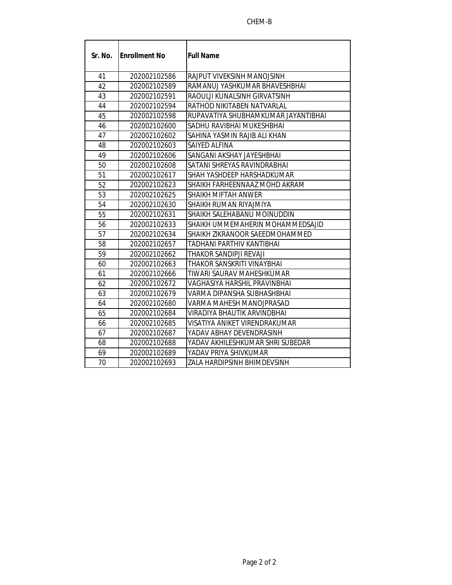#### CHEM-B

| Sr. No. | <b>IEnrollment No</b> | <b>Full Name</b>                    |
|---------|-----------------------|-------------------------------------|
| 41      | 202002102586          | RAJPUT VIVEKSINH MANOJSINH          |
| 42      | 202002102589          | RAMANUJ YASHKUMAR BHAVESHBHAI       |
| 43      | 202002102591          | RAOULJI KUNALSINH GIRVATSINH        |
| 44      | 202002102594          | RATHOD NIKITABEN NATVARLAL          |
| 45      | 202002102598          | RUPAVATIYA SHUBHAMKUMAR JAYANTIBHAI |
| 46      | 202002102600          | SADHU RAVIBHAI MUKESHBHAI           |
| 47      | 202002102602          | SAHINA YASMIN RAJIB ALI KHAN        |
| 48      | 202002102603          | SAIYED ALFINA                       |
| 49      | 202002102606          | SANGANI AKSHAY JAYESHBHAI           |
| 50      | 202002102608          | SATANI SHREYAS RAVINDRABHAI         |
| 51      | 202002102617          | SHAH YASHDEEP HARSHADKUMAR          |
| 52      | 202002102623          | SHAIKH FARHEENNAAZ MOHD AKRAM       |
| 53      | 202002102625          | SHAIKH MIFTAH ANWER                 |
| 54      | 202002102630          | SHAIKH RUMAN RIYAJMIYA              |
| 55      | 202002102631          | SHAIKH SALEHABANU MOINUDDIN         |
| 56      | 202002102633          | SHAIKH UMMEMAHERIN MOHAMMEDSAJID    |
| 57      | 202002102634          | SHAIKH ZIKRANOOR SAEEDMOHAMMED      |
| 58      | 202002102657          | TADHANI PARTHIV KANTIBHAI           |
| 59      | 202002102662          | THAKOR SANDIPJI REVAJI              |
| 60      | 202002102663          | THAKOR SANSKRITI VINAYBHAI          |
| 61      | 202002102666          | TIWARI SAURAV MAHESHKUMAR           |
| 62      | 202002102672          | VAGHASIYA HARSHIL PRAVINBHAI        |
| 63      | 202002102679          | VARMA DIPANSHA SUBHASHBHAI          |
| 64      | 202002102680          | VARMA MAHESH MANOJPRASAD            |
| 65      | 202002102684          | VIRADIYA BHAUTIK ARVINDBHAI         |
| 66      | 202002102685          | VISATIYA ANIKET VIRENDRAKUMAR       |
| 67      | 202002102687          | YADAV ABHAY DEVENDRASINH            |
| 68      | 202002102688          | YADAV AKHILESHKUMAR SHRI SUBEDAR    |
| 69      | 202002102689          | YADAV PRIYA SHIVKUMAR               |
| 70      | 202002102693          | ZALA HARDIPSINH BHIMDEVSINH         |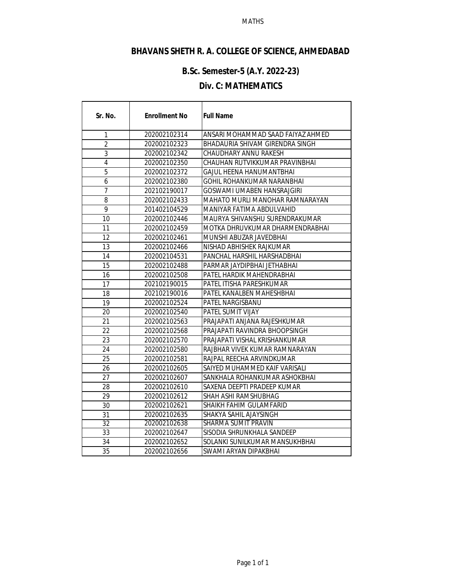#### MATHS

# **BHAVANS SHETH R. A. COLLEGE OF SCIENCE, AHMEDABAD**

# **B.Sc. Semester-5 (A.Y. 2022-23)**

#### **Div. C: MATHEMATICS**

г

| Sr. No.        | <b>Enrollment No</b> | <b>Full Name</b>                  |
|----------------|----------------------|-----------------------------------|
| 1              | 202002102314         | ANSARI MOHAMMAD SAAD FAIYAZ AHMED |
| $\overline{2}$ | 202002102323         | BHADAURIA SHIVAM GIRENDRA SINGH   |
| 3              | 202002102342         | CHAUDHARY ANNU RAKESH             |
| 4              | 202002102350         | CHAUHAN RUTVIKKUMAR PRAVINBHAI    |
| 5              | 202002102372         | GAJUL HEENA HANUMANTBHAI          |
| 6              | 202002102380         | GOHIL ROHANKUMAR NARANBHAI        |
| 7              | 202102190017         | GOSWAMI UMABEN HANSRAJGIRI        |
| 8              | 202002102433         | MAHATO MURLI MANOHAR RAMNARAYAN   |
| 9              | 201402104529         | MANIYAR FATIMA ABDULVAHID         |
| 10             | 202002102446         | MAURYA SHIVANSHU SURENDRAKUMAR    |
| 11             | 202002102459         | MOTKA DHRUVKUMAR DHARMENDRABHAI   |
| 12             | 202002102461         | MUNSHI ABUZAR JAVEDBHAI           |
| 13             | 202002102466         | NISHAD ABHISHEK RAJKUMAR          |
| 14             | 202002104531         | PANCHAL HARSHIL HARSHADBHAI       |
| 15             | 202002102488         | PARMAR JAYDIPBHAI JETHABHAI       |
| 16             | 202002102508         | PATEL HARDIK MAHENDRABHAI         |
| 17             | 202102190015         | PATEL ITISHA PARESHKUMAR          |
| 18             | 202102190016         | PATEL KANALBEN MAHESHBHAI         |
| 19             | 202002102524         | PATEL NARGISBANU                  |
| 20             | 202002102540         | PATEL SUMIT VIJAY                 |
| 21             | 202002102563         | PRAJAPATI ANJANA RAJESHKUMAR      |
| 22             | 202002102568         | PRAJAPATI RAVINDRA BHOOPSINGH     |
| 23             | 202002102570         | PRAJAPATI VISHAL KRISHANKUMAR     |
| 24             | 202002102580         | RAJBHAR VIVEK KUMAR RAMNARAYAN    |
| 25             | 202002102581         | RAJPAL REECHA ARVINDKUMAR         |
| 26             | 202002102605         | SAIYED MUHAMMED KAIF VARISALI     |
| 27             | 202002102607         | SANKHALA ROHANKUMAR ASHOKBHAI     |
| 28             | 202002102610         | SAXENA DEEPTI PRADEEP KUMAR       |
| 29             | 202002102612         | SHAH ASHI RAMSHUBHAG              |
| 30             | 202002102621         | SHAIKH FAHIM GULAMFARID           |
| 31             | 202002102635         | SHAKYA SAHIL AJAYSINGH            |
| 32             | 202002102638         | SHARMA SUMIT PRAVIN               |
| 33             | 202002102647         | SISODIA SHRUNKHALA SANDEEP        |
| 34             | 202002102652         | SOLANKI SUNILKUMAR MANSUKHBHAI    |
| 35             | 202002102656         | SWAMI ARYAN DIPAKBHAI             |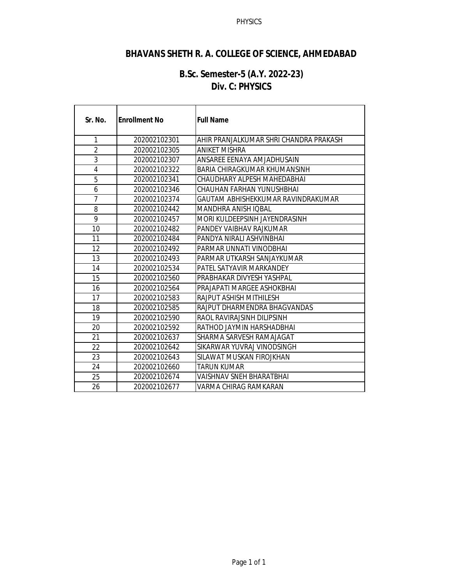#### PHYSICS

### **BHAVANS SHETH R. A. COLLEGE OF SCIENCE, AHMEDABAD**

#### **B.Sc. Semester-5 (A.Y. 2022-23) Div. C: PHYSICS**

| Sr. No.        | <b>Enrollment No</b> | <b>Full Name</b>                        |
|----------------|----------------------|-----------------------------------------|
| 1              | 202002102301         | AHIR PRANJAI KUMAR SHRI CHANDRA PRAKASH |
| 2              | 202002102305         | ANIKET MISHRA                           |
| 3              | 202002102307         | ANSAREE EENAYA AMJADHUSAIN              |
| 4              | 202002102322         | BARIA CHIRAGKUMAR KHUMANSINH            |
| 5              | 202002102341         | CHAUDHARY ALPESH MAHEDABHAI             |
| 6              | 202002102346         | CHAUHAN FARHAN YUNUSHBHAI               |
| $\overline{7}$ | 202002102374         | GAUTAM ABHISHEKKUMAR RAVINDRAKUMAR      |
| 8              | 202002102442         | MANDHRA ANISH IOBAL                     |
| 9              | 202002102457         | MORI KULDEEPSINH JAYENDRASINH           |
| 10             | 202002102482         | PANDEY VAIBHAV RAJKUMAR                 |
| 11             | 202002102484         | PANDYA NIRALI ASHVINBHAI                |
| 12             | 202002102492         | PARMAR UNNATI VINODBHAI                 |
| 13             | 202002102493         | PARMAR UTKARSH SANJAYKUMAR              |
| 14             | 202002102534         | PATEL SATYAVIR MARKANDEY                |
| 15             | 202002102560         | PRABHAKAR DIVYESH YASHPAL               |
| 16             | 202002102564         | PRAJAPATI MARGEE ASHOKBHAI              |
| 17             | 202002102583         | RAJPUT ASHISH MITHILESH                 |
| 18             | 202002102585         | RAJPUT DHARMENDRA BHAGVANDAS            |
| 19             | 202002102590         | RAOL RAVIRAJSINH DILIPSINH              |
| 20             | 202002102592         | RATHOD JAYMIN HARSHADBHAI               |
| 21             | 202002102637         | SHARMA SARVESH RAMAJAGAT                |
| 22             | 202002102642         | SIKARWAR YUVRAJ VINODSINGH              |
| 23             | 202002102643         | SILAWAT MUSKAN FIROJKHAN                |
| 24             | 202002102660         | <b>TARUN KUMAR</b>                      |
| 25             | 202002102674         | <b>VAISHNAV SNEH BHARATBHAI</b>         |
| 26             | 202002102677         | VARMA CHIRAG RAMKARAN                   |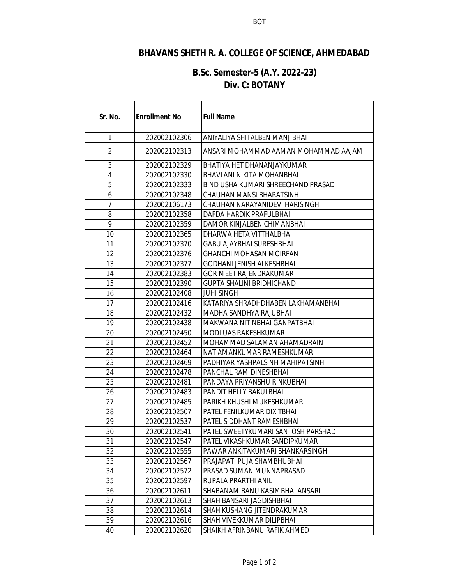# **BHAVANS SHETH R. A. COLLEGE OF SCIENCE, AHMEDABAD**

#### **B.Sc. Semester-5 (A.Y. 2022-23) Div. C: BOTANY**

r

| Sr. No.        | <b>Enrollment No</b> | <b>Full Name</b>                     |
|----------------|----------------------|--------------------------------------|
| 1              | 202002102306         | ANIYALIYA SHITALBEN MANJIBHAI        |
| $\overline{2}$ | 202002102313         | ANSARI MOHAMMAD AAMAN MOHAMMAD AAJAM |
| 3              | 202002102329         | BHATIYA HET DHANANJAYKUMAR           |
| 4              | 202002102330         | BHAVLANI NIKITA MOHANBHAI            |
| 5              | 202002102333         | BIND USHA KUMARI SHREECHAND PRASAD   |
| 6              | 202002102348         | CHAUHAN MANSI BHARATSINH             |
| 7              | 202002106173         | CHAUHAN NARAYANIDEVI HARISINGH       |
| 8              | 202002102358         | DAFDA HARDIK PRAFULBHAI              |
| 9              | 202002102359         | DAMOR KINJALBEN CHIMANBHAI           |
| 10             | 202002102365         | DHARWA HETA VITTHALBHAI              |
| 11             | 202002102370         | <b>GABU AJAYBHAI SURESHBHAI</b>      |
| 12             | 202002102376         | <b>GHANCHI MOHASAN MOIRFAN</b>       |
| 13             | 202002102377         | GODHANI JENISH ALKESHBHAI            |
| 14             | 202002102383         | <b>GOR MEET RAJENDRAKUMAR</b>        |
| 15             | 202002102390         | <b>GUPTA SHALINI BRIDHICHAND</b>     |
| 16             | 202002102408         | <b>JUHI SINGH</b>                    |
| 17             | 202002102416         | KATARIYA SHRADHDHABEN LAKHAMANBHAI   |
| 18             | 202002102432         | MADHA SANDHYA RAJUBHAI               |
| 19             | 202002102438         | MAKWANA NITINBHAI GANPATBHAI         |
| 20             | 202002102450         | <b>MODI UAS RAKESHKUMAR</b>          |
| 21             | 202002102452         | MOHAMMAD SALAMAN AHAMADRAIN          |
| 22             | 202002102464         | NAT AMANKUMAR RAMESHKUMAR            |
| 23             | 202002102469         | PADHIYAR YASHPALSINH MAHIPATSINH     |
| 24             | 202002102478         | PANCHAL RAM DINESHBHAI               |
| 25             | 202002102481         | PANDAYA PRIYANSHU RINKUBHAI          |
| 26             | 202002102483         | <b>PANDIT HELLY BAKULBHAI</b>        |
| 27             | 202002102485         | PARIKH KHUSHI MUKESHKUMAR            |
| 28             | 202002102507         | PATEL FENILKUMAR DIXITBHAI           |
| 29             | 202002102537         | PATEL SIDDHANT RAMESHBHAI            |
| 30             | 202002102541         | PATEL SWEETYKUMARI SANTOSH PARSHAD   |
| 31             | 202002102547         | PATEL VIKASHKUMAR SANDIPKUMAR        |
| 32             | 202002102555         | PAWAR ANKITAKUMARI SHANKARSINGH      |
| 33             | 202002102567         | PRAJAPATI PUJA SHAMBHUBHAI           |
| 34             | 202002102572         | PRASAD SUMAN MUNNAPRASAD             |
| 35             | 202002102597         | RUPALA PRARTHI ANIL                  |
| 36             | 202002102611         | SHABANAM BANU KASIMBHAI ANSARI       |
| 37             | 202002102613         | SHAH BANSARI JAGDISHBHAI             |
| 38             | 202002102614         | <b>SHAH KUSHANG JITENDRAKUMAR</b>    |
| 39             | 202002102616         | <b>SHAH VIVEKKUMAR DILIPBHAI</b>     |
| 40             | 202002102620         | SHAIKH AFRINBANU RAFIK AHMED         |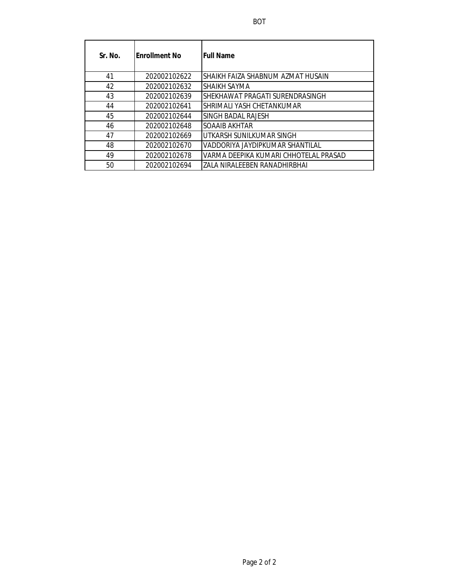| Sr. No. | Enrollment No | <b>Full Name</b>                      |
|---------|---------------|---------------------------------------|
| 41      | 202002102622  | SHAIKH FAIZA SHABNUM AZMAT HUSAIN     |
| 42      | 202002102632  | SHAIKH SAYMA                          |
| 43      | 202002102639  | SHEKHAWAT PRAGATI SURENDRASINGH       |
| 44      | 202002102641  | SHRIMALI YASH CHETANKUMAR             |
| 45      | 202002102644  | SINGH BADAL RAJESH                    |
| 46      | 202002102648  | SOAAIB AKHTAR                         |
| 47      | 202002102669  | UTKARSH SUNILKUMAR SINGH              |
| 48      | 202002102670  | VADDORIYA JAYDIPKUMAR SHANTILAL       |
| 49      | 202002102678  | VARMA DEEPIKA KUMARI CHHOTELAL PRASAD |
| 50      | 202002102694  | ZALA NIRALEEBEN RANADHIRBHAI          |